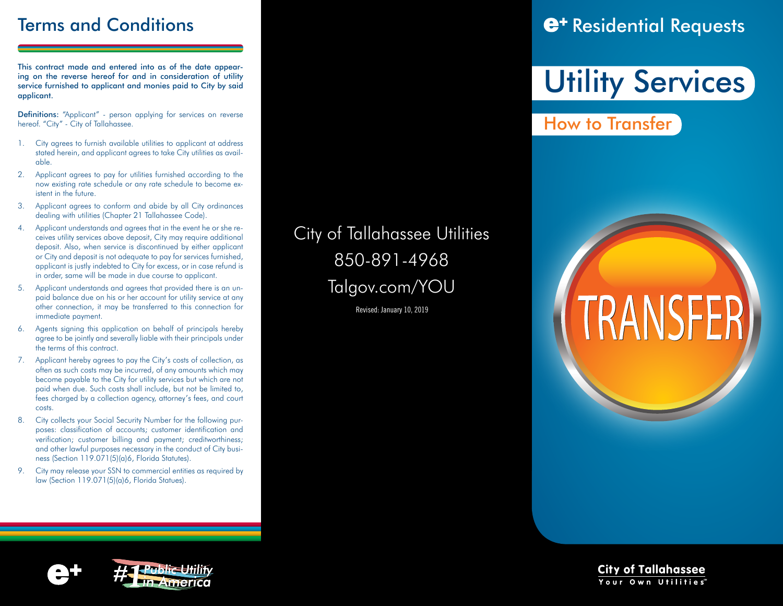This contract made and entered into as of the date appearing on the reverse hereof for and in consideration of utility service furnished to applicant and monies paid to City by said applicant.

Definitions: "Applicant" - person applying for services on reverse hereof. "City" - City of Tallahassee.

- 1. City agrees to furnish available utilities to applicant at address stated herein, and applicant agrees to take City utilities as available.
- 2. Applicant agrees to pay for utilities furnished according to the now existing rate schedule or any rate schedule to become existent in the future.
- 3. Applicant agrees to conform and abide by all City ordinances dealing with utilities (Chapter 21 Tallahassee Code).
- 4. Applicant understands and agrees that in the event he or she receives utility services above deposit, City may require additional deposit. Also, when service is discontinued by either applicant or City and deposit is not adequate to pay for services furnished, applicant is justly indebted to City for excess, or in case refund is in order, same will be made in due course to applicant.
- 5. Applicant understands and agrees that provided there is an unpaid balance due on his or her account for utility service at any other connection, it may be transferred to this connection for immediate payment.
- 6. Agents signing this application on behalf of principals hereby agree to be jointly and severally liable with their principals under the terms of this contract.
- 7. Applicant hereby agrees to pay the City's costs of collection, as often as such costs may be incurred, of any amounts which may become payable to the City for utility services but which are not paid when due. Such costs shall include, but not be limited to, fees charged by a collection agency, attorney's fees, and court costs.
- 8. City collects your Social Security Number for the following purposes: classification of accounts; customer identification and verification; customer billing and payment; creditworthiness; and other lawful purposes necessary in the conduct of City business (Section 119.071(5)(a)6, Florida Statutes).
- 9. City may release your SSN to commercial entities as required by law (Section 119.071(5)(a)6, Florida Statues).

City of Tallahassee Utilities 850-891-4968 Talgov.com/YOU

Revised: January 10, 2019

## Terms and Conditions **Residential Requests**

# **Utility Services**

How to Transfer